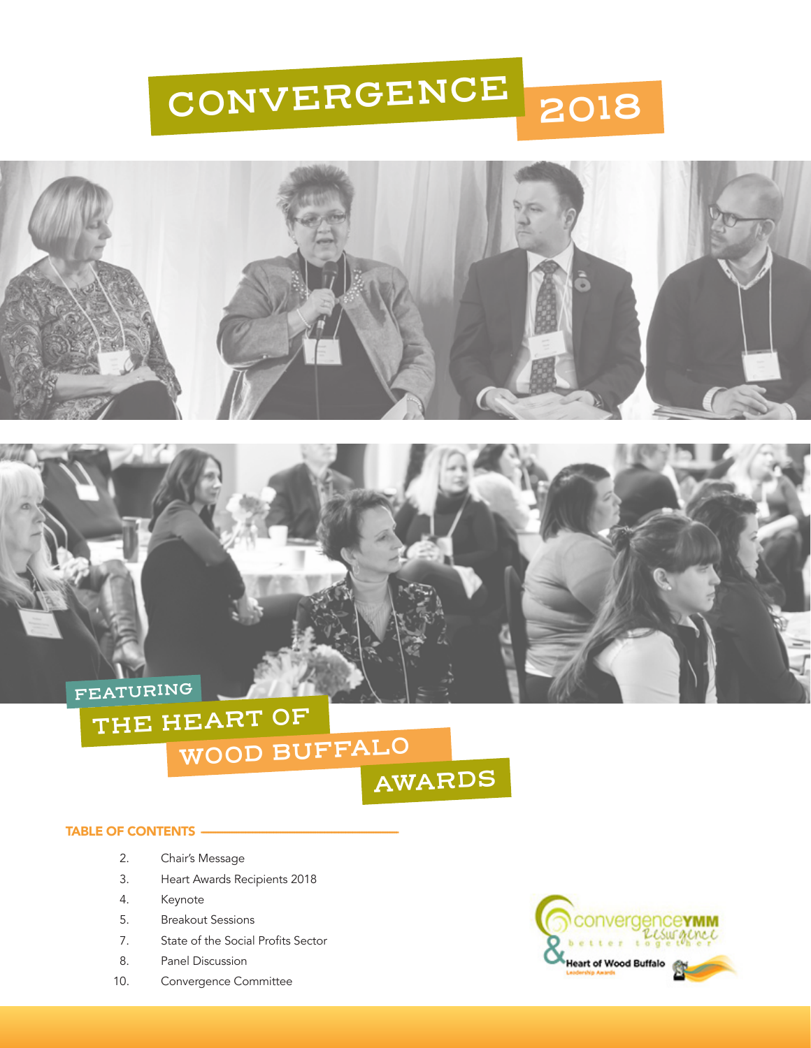



**FEATURING**

## **THE HEART OF WOOD BUFFALO**

**AWARDS**

### TABLE OF CONTENTS -

- 2. Chair's Message
- 3. Heart Awards Recipients 2018
- 4. Keynote
- 5. Breakout Sessions
- 7. State of the Social Profits Sector
- 8. Panel Discussion
- 10. Convergence Committee

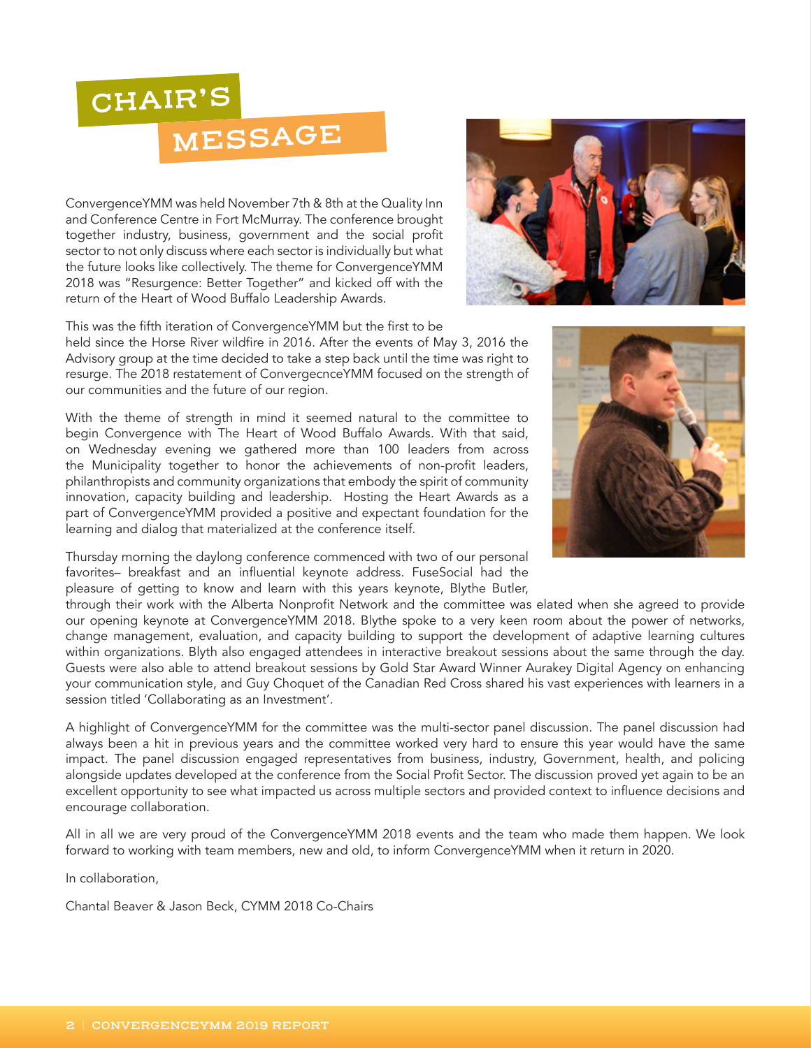## **CHAIR'S**

## **MESSAGE**

ConvergenceYMM was held November 7th & 8th at the Quality Inn and Conference Centre in Fort McMurray. The conference brought together industry, business, government and the social profit sector to not only discuss where each sector is individually but what the future looks like collectively. The theme for ConvergenceYMM 2018 was "Resurgence: Better Together" and kicked off with the return of the Heart of Wood Buffalo Leadership Awards.



held since the Horse River wildfire in 2016. After the events of May 3, 2016 the Advisory group at the time decided to take a step back until the time was right to resurge. The 2018 restatement of ConvergecnceYMM focused on the strength of our communities and the future of our region.

With the theme of strength in mind it seemed natural to the committee to begin Convergence with The Heart of Wood Buffalo Awards. With that said, on Wednesday evening we gathered more than 100 leaders from across the Municipality together to honor the achievements of non-profit leaders, philanthropists and community organizations that embody the spirit of community innovation, capacity building and leadership. Hosting the Heart Awards as a part of ConvergenceYMM provided a positive and expectant foundation for the learning and dialog that materialized at the conference itself.

Thursday morning the daylong conference commenced with two of our personal favorites– breakfast and an influential keynote address. FuseSocial had the pleasure of getting to know and learn with this years keynote, Blythe Butler,

through their work with the Alberta Nonprofit Network and the committee was elated when she agreed to provide our opening keynote at ConvergenceYMM 2018. Blythe spoke to a very keen room about the power of networks, change management, evaluation, and capacity building to support the development of adaptive learning cultures within organizations. Blyth also engaged attendees in interactive breakout sessions about the same through the day. Guests were also able to attend breakout sessions by Gold Star Award Winner Aurakey Digital Agency on enhancing your communication style, and Guy Choquet of the Canadian Red Cross shared his vast experiences with learners in a session titled 'Collaborating as an Investment'.

A highlight of ConvergenceYMM for the committee was the multi-sector panel discussion. The panel discussion had always been a hit in previous years and the committee worked very hard to ensure this year would have the same impact. The panel discussion engaged representatives from business, industry, Government, health, and policing alongside updates developed at the conference from the Social Profit Sector. The discussion proved yet again to be an excellent opportunity to see what impacted us across multiple sectors and provided context to influence decisions and encourage collaboration.

All in all we are very proud of the ConvergenceYMM 2018 events and the team who made them happen. We look forward to working with team members, new and old, to inform ConvergenceYMM when it return in 2020.

In collaboration,

Chantal Beaver & Jason Beck, CYMM 2018 Co-Chairs



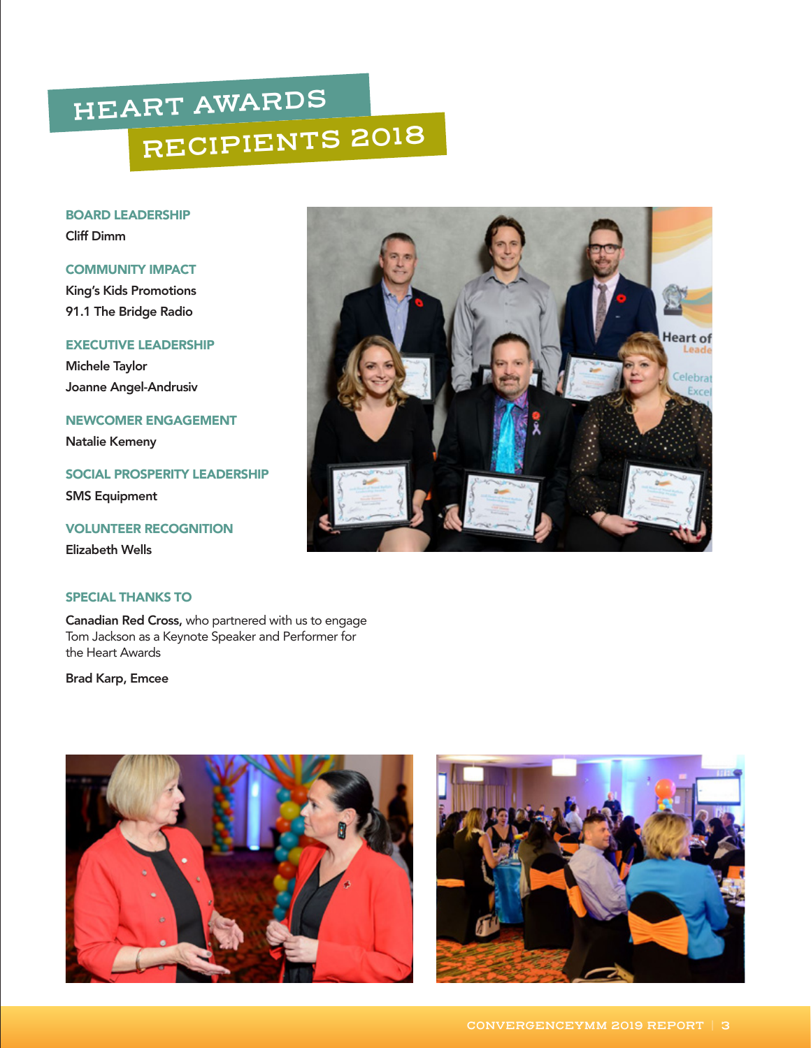# **HEART AWARDS RECIPIENTS 2018**

BOARD LEADERSHIP Cliff Dimm

### COMMUNITY IMPACT

King's Kids Promotions 91.1 The Bridge Radio

## EXECUTIVE LEADERSHIP

Michele Taylor Joanne Angel-Andrusiv

NEWCOMER ENGAGEMENT

Natalie Kemeny

SOCIAL PROSPERITY LEADERSHIP SMS Equipment

## VOLUNTEER RECOGNITION

Elizabeth Wells

## SPECIAL THANKS TO

Canadian Red Cross, who partnered with us to engage Tom Jackson as a Keynote Speaker and Performer for the Heart Awards

Brad Karp, Emcee





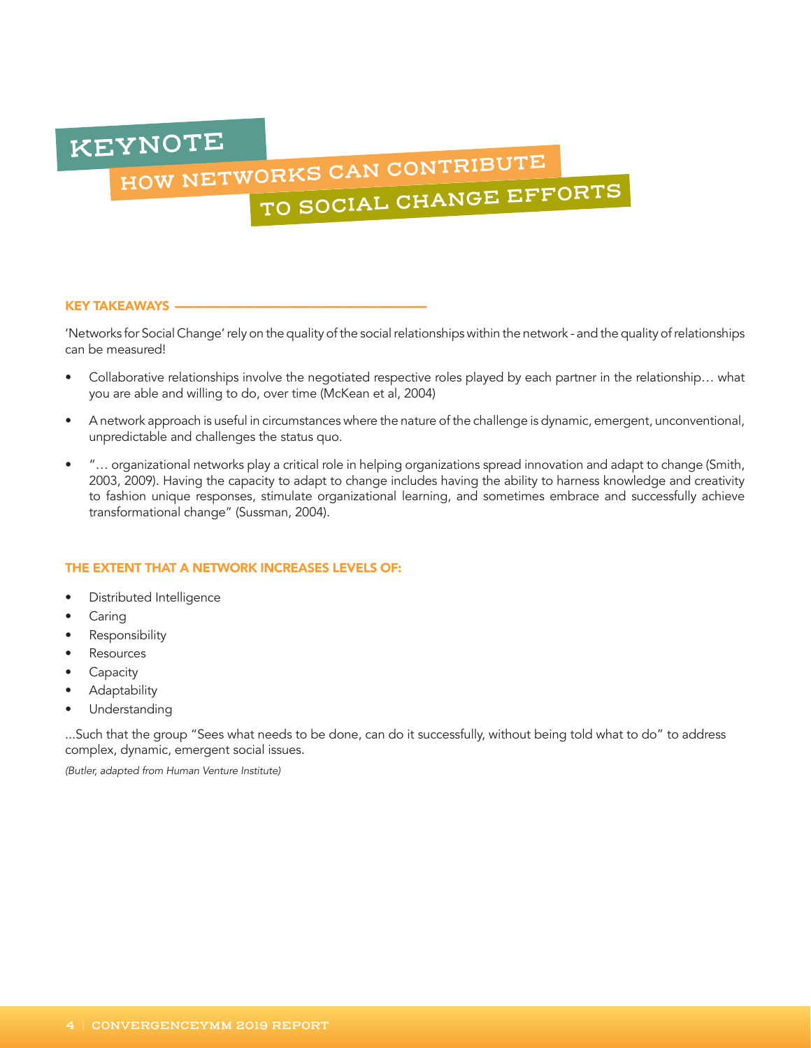**KEYNOTE**

# **HOW NETWORKS CAN CONTRIBUTE TO SOCIAL CHANGE EFFORTS**

### KEY TAKEAWAYS -

'Networks for Social Change' rely on the quality of the social relationships within the network - and the quality of relationships can be measured!

- Collaborative relationships involve the negotiated respective roles played by each partner in the relationship… what you are able and willing to do, over time (McKean et al, 2004)
- A network approach is useful in circumstances where the nature of the challenge is dynamic, emergent, unconventional, unpredictable and challenges the status quo.
- "… organizational networks play a critical role in helping organizations spread innovation and adapt to change (Smith, 2003, 2009). Having the capacity to adapt to change includes having the ability to harness knowledge and creativity to fashion unique responses, stimulate organizational learning, and sometimes embrace and successfully achieve transformational change" (Sussman, 2004).

### THE EXTENT THAT A NETWORK INCREASES LEVELS OF:

- Distributed Intelligence
- Caring
- Responsibility
- **Resources**
- **Capacity**
- Adaptability
- Understanding

...Such that the group "Sees what needs to be done, can do it successfully, without being told what to do" to address complex, dynamic, emergent social issues.

*(Butler, adapted from Human Venture Institute)*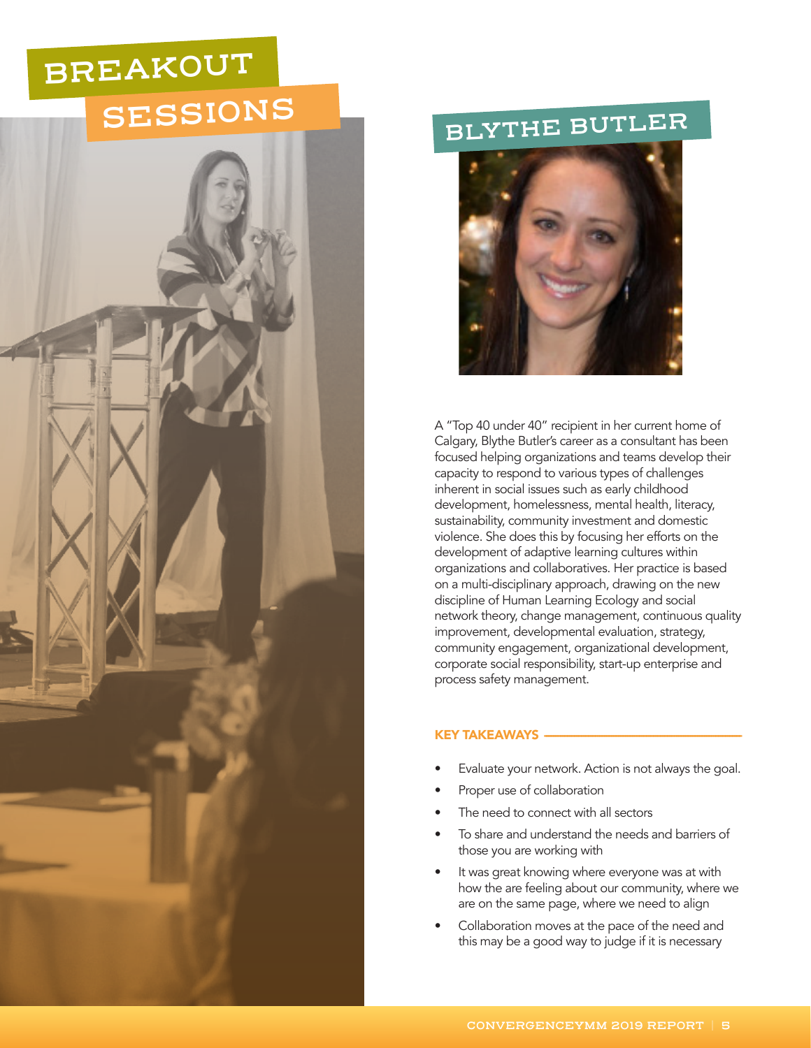# **BREAKOUT SESSIONS**



## **BLYTHE BUTLER**



A "Top 40 under 40" recipient in her current home of Calgary, Blythe Butler's career as a consultant has been focused helping organizations and teams develop their capacity to respond to various types of challenges inherent in social issues such as early childhood development, homelessness, mental health, literacy, sustainability, community investment and domestic violence. She does this by focusing her efforts on the development of adaptive learning cultures within organizations and collaboratives. Her practice is based on a multi-disciplinary approach, drawing on the new discipline of Human Learning Ecology and social network theory, change management, continuous quality improvement, developmental evaluation, strategy, community engagement, organizational development, corporate social responsibility, start-up enterprise and process safety management.

### KEY TAKEAWAYS -

- Evaluate your network. Action is not always the goal.
- Proper use of collaboration
- The need to connect with all sectors
- To share and understand the needs and barriers of those you are working with
- It was great knowing where everyone was at with how the are feeling about our community, where we are on the same page, where we need to align
- Collaboration moves at the pace of the need and this may be a good way to judge if it is necessary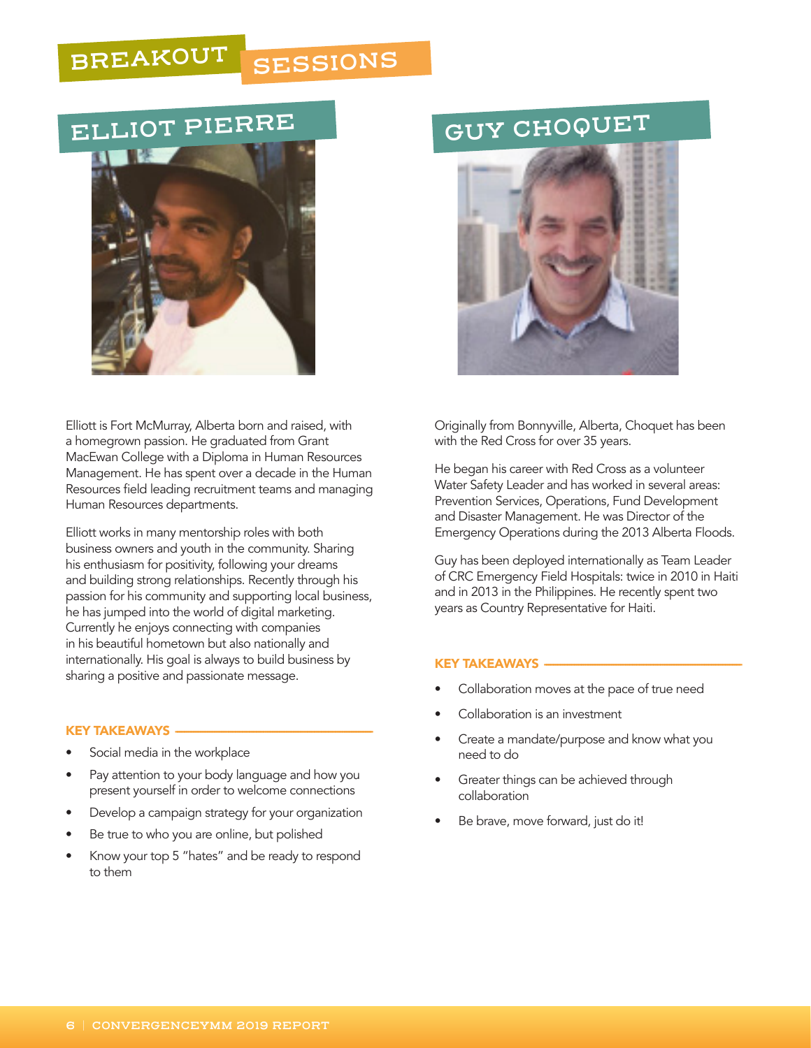## **BREAKOUT SESSIONS**

## **ELLIOT PIERRE GUY CHOQUET**



Elliott is Fort McMurray, Alberta born and raised, with a homegrown passion. He graduated from Grant MacEwan College with a Diploma in Human Resources Management. He has spent over a decade in the Human Resources field leading recruitment teams and managing Human Resources departments.

Elliott works in many mentorship roles with both business owners and youth in the community. Sharing his enthusiasm for positivity, following your dreams and building strong relationships. Recently through his passion for his community and supporting local business, he has jumped into the world of digital marketing. Currently he enjoys connecting with companies in his beautiful hometown but also nationally and internationally. His goal is always to build business by sharing a positive and passionate message.

### KEY TAKEAWAYS

- Social media in the workplace
- Pay attention to your body language and how you present yourself in order to welcome connections
- Develop a campaign strategy for your organization
- Be true to who you are online, but polished
- Know your top 5 "hates" and be ready to respond to them



Originally from Bonnyville, Alberta, Choquet has been with the Red Cross for over 35 years.

He began his career with Red Cross as a volunteer Water Safety Leader and has worked in several areas: Prevention Services, Operations, Fund Development and Disaster Management. He was Director of the Emergency Operations during the 2013 Alberta Floods.

Guy has been deployed internationally as Team Leader of CRC Emergency Field Hospitals: twice in 2010 in Haiti and in 2013 in the Philippines. He recently spent two years as Country Representative for Haiti.

### KEY TAKEAWAYS

- Collaboration moves at the pace of true need
- Collaboration is an investment
- Create a mandate/purpose and know what you need to do
- Greater things can be achieved through collaboration
- Be brave, move forward, just do it!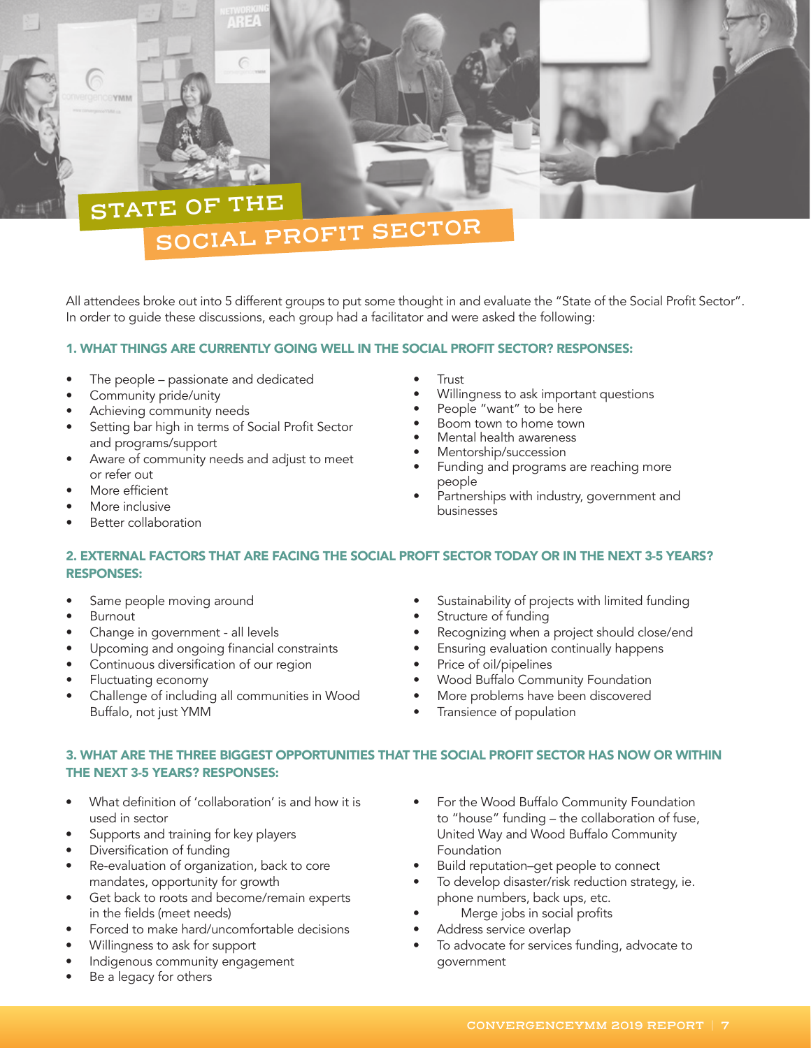## **STATE OF THE SOCIAL PROFIT SECTOR**

All attendees broke out into 5 different groups to put some thought in and evaluate the "State of the Social Profit Sector". In order to guide these discussions, each group had a facilitator and were asked the following:

## 1. WHAT THINGS ARE CURRENTLY GOING WELL IN THE SOCIAL PROFIT SECTOR? RESPONSES:

- The people passionate and dedicated
- Community pride/unity
- Achieving community needs
- Setting bar high in terms of Social Profit Sector and programs/support
- Aware of community needs and adjust to meet or refer out
- More efficient

**EYMM** 

- More inclusive
- Better collaboration
- Trust
- Willingness to ask important questions
- People "want" to be here
- Boom town to home town
- Mental health awareness
- Mentorship/succession
- Funding and programs are reaching more people
- Partnerships with industry, government and businesses

## 2. EXTERNAL FACTORS THAT ARE FACING THE SOCIAL PROFT SECTOR TODAY OR IN THE NEXT 3-5 YEARS? RESPONSES:

- Same people moving around
- **Burnout**
- Change in government all levels
- Upcoming and ongoing financial constraints
- Continuous diversification of our region
- Fluctuating economy
- Challenge of including all communities in Wood Buffalo, not just YMM
- Sustainability of projects with limited funding
- Structure of funding
- Recognizing when a project should close/end
- Ensuring evaluation continually happens
- Price of oil/pipelines
- Wood Buffalo Community Foundation
- More problems have been discovered
- Transience of population

## 3. WHAT ARE THE THREE BIGGEST OPPORTUNITIES THAT THE SOCIAL PROFIT SECTOR HAS NOW OR WITHIN THE NEXT 3-5 YEARS? RESPONSES:

- What definition of 'collaboration' is and how it is used in sector
- Supports and training for key players
- Diversification of funding
- Re-evaluation of organization, back to core mandates, opportunity for growth
- Get back to roots and become/remain experts in the fields (meet needs)
- Forced to make hard/uncomfortable decisions
- Willingness to ask for support
- Indigenous community engagement
- Be a legacy for others
- For the Wood Buffalo Community Foundation to "house" funding – the collaboration of fuse, United Way and Wood Buffalo Community Foundation
- Build reputation–get people to connect
- To develop disaster/risk reduction strategy, ie. phone numbers, back ups, etc.
- Merge jobs in social profits
- Address service overlap
- To advocate for services funding, advocate to government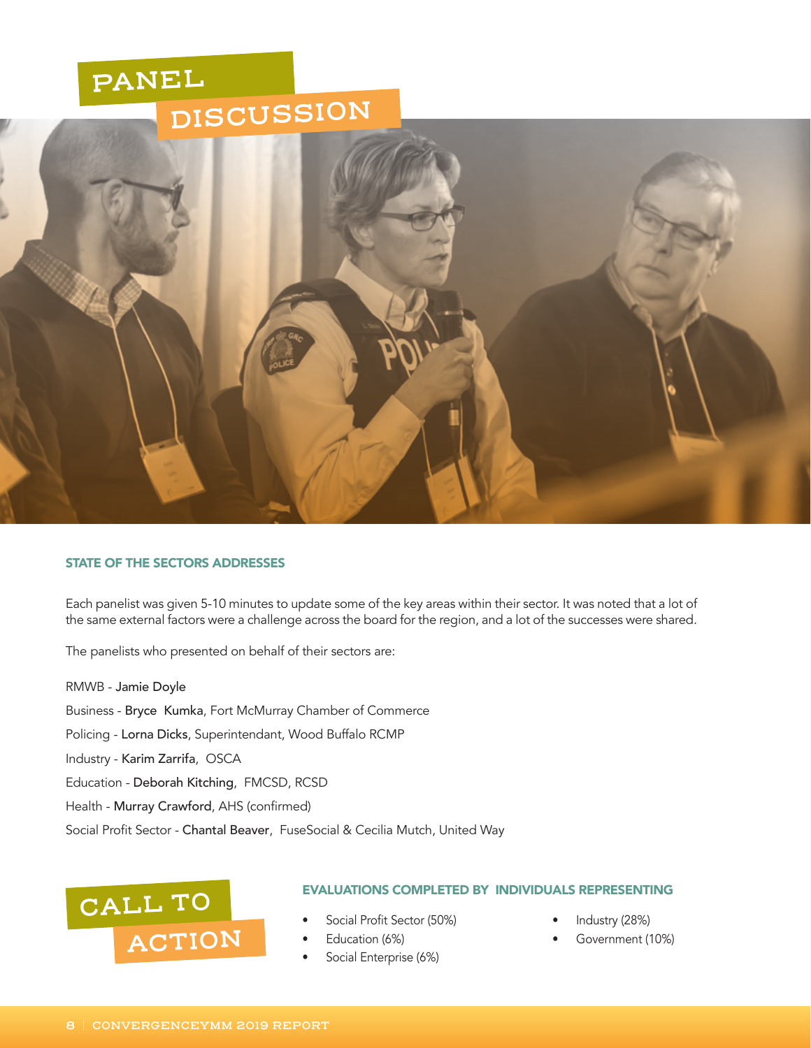## **PANEL DISCUSSION**



### STATE OF THE SECTORS ADDRESSES

Each panelist was given 5-10 minutes to update some of the key areas within their sector. It was noted that a lot of the same external factors were a challenge across the board for the region, and a lot of the successes were shared.

The panelists who presented on behalf of their sectors are:

RMWB - Jamie Doyle Business - Bryce Kumka, Fort McMurray Chamber of Commerce Policing - Lorna Dicks, Superintendant, Wood Buffalo RCMP Industry - Karim Zarrifa, OSCA Education - Deborah Kitching, FMCSD, RCSD Health - Murray Crawford, AHS (confirmed) Social Profit Sector - Chantal Beaver, FuseSocial & Cecilia Mutch, United Way



### EVALUATIONS COMPLETED BY INDIVIDUALS REPRESENTING

- Social Profit Sector (50%)
- Education (6%)
- Social Enterprise (6%)
- Industry (28%)
- Government (10%)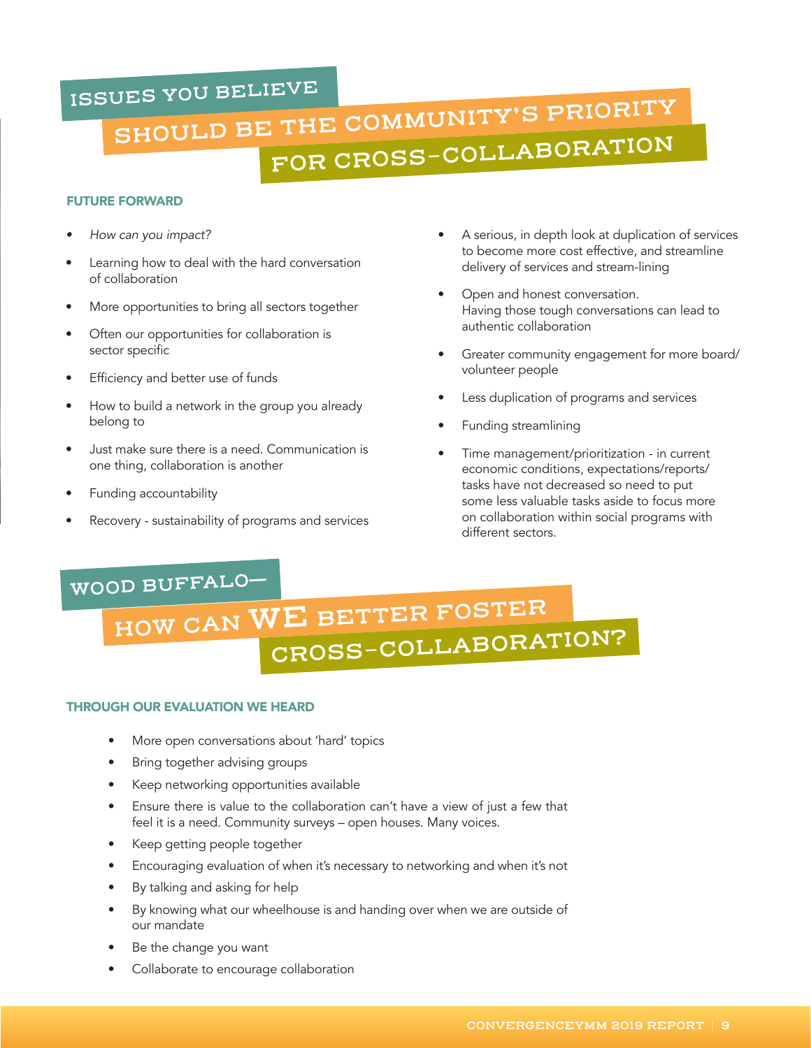## **ISSUES YOU BELIEVE**

# **SHOULD BE THE COMMUNITY'S PRIORITY FOR CROSS-COLLABORATION**

## FUTURE FORWARD

- *• How can you impact?*
- Learning how to deal with the hard conversation of collaboration
- More opportunities to bring all sectors together
- Often our opportunities for collaboration is sector specific
- Efficiency and better use of funds
- How to build a network in the group you already belong to
- Just make sure there is a need. Communication is one thing, collaboration is another
- Funding accountability
- Recovery sustainability of programs and services
- A serious, in depth look at duplication of services to become more cost effective, and streamline delivery of services and stream-lining
- Open and honest conversation. Having those tough conversations can lead to authentic collaboration
- Greater community engagement for more board/ volunteer people
- Less duplication of programs and services
- Funding streamlining
- Time management/prioritization in current economic conditions, expectations/reports/ tasks have not decreased so need to put some less valuable tasks aside to focus more on collaboration within social programs with different sectors.

## **WOOD BUFFALO**—

# **HOW CAN WE BETTER FOSTER CROSS-COLLABORATION?**

## THROUGH OUR EVALUATION WE HEARD

- More open conversations about 'hard' topics
- Bring together advising groups
- Keep networking opportunities available
- Ensure there is value to the collaboration can't have a view of just a few that feel it is a need. Community surveys – open houses. Many voices.
- Keep getting people together
- Encouraging evaluation of when it's necessary to networking and when it's not
- By talking and asking for help
- By knowing what our wheelhouse is and handing over when we are outside of our mandate
- Be the change you want
- Collaborate to encourage collaboration